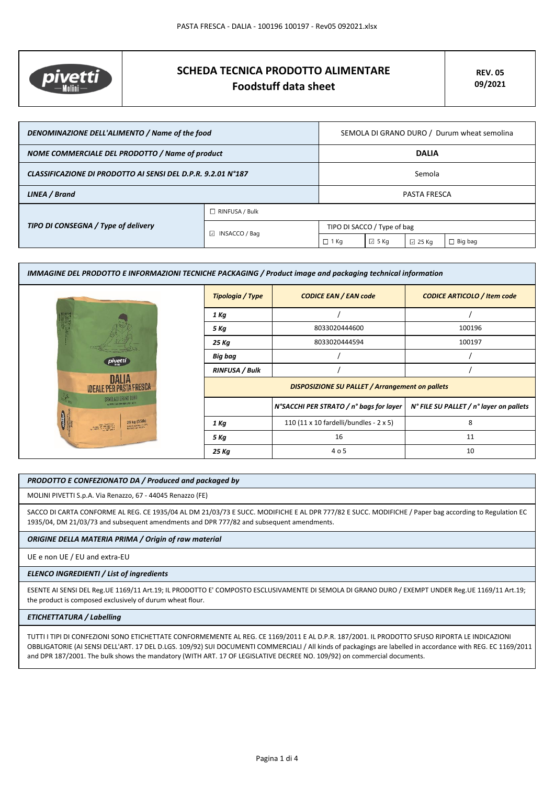

# **SCHEDA TECNICA PRODOTTO ALIMENTARE Foodstuff data sheet**

| DENOMINAZIONE DELL'ALIMENTO / Name of the food               |                         | SEMOLA DI GRANO DURO / Durum wheat semolina |                |                 |                |
|--------------------------------------------------------------|-------------------------|---------------------------------------------|----------------|-----------------|----------------|
| NOME COMMERCIALE DEL PRODOTTO / Name of product              |                         | <b>DALIA</b>                                |                |                 |                |
| CLASSIFICAZIONE DI PRODOTTO AI SENSI DEL D.P.R. 9.2.01 N°187 |                         | Semola                                      |                |                 |                |
| LINEA / Brand                                                |                         | <b>PASTA FRESCA</b>                         |                |                 |                |
|                                                              | $\Box$ RINFUSA / Bulk   |                                             |                |                 |                |
| TIPO DI CONSEGNA / Type of delivery                          | $\boxdot$ INSACCO / Bag | TIPO DI SACCO / Type of bag                 |                |                 |                |
|                                                              |                         | $\Box$ 1 Kg                                 | $\boxdot$ 5 Kg | $\boxdot$ 25 Kg | $\Box$ Big bag |

| IMMAGINE DEL PRODOTTO E INFORMAZIONI TECNICHE PACKAGING / Product image and packaging technical information |                       |                                                        |                                         |  |
|-------------------------------------------------------------------------------------------------------------|-----------------------|--------------------------------------------------------|-----------------------------------------|--|
|                                                                                                             | Tipologia / Type      | <b>CODICE EAN / EAN code</b>                           | <b>CODICE ARTICOLO / Item code</b>      |  |
|                                                                                                             | 1 Kg                  |                                                        |                                         |  |
|                                                                                                             | 5 Kg                  | 8033020444600                                          | 100196                                  |  |
|                                                                                                             | 25 Kg                 | 8033020444594                                          | 100197                                  |  |
| pivetti                                                                                                     | Big bag               |                                                        |                                         |  |
|                                                                                                             | <b>RINFUSA / Bulk</b> |                                                        |                                         |  |
| DALIA<br><b>IDEALE PER PASTA FRESCA</b>                                                                     |                       | <b>DISPOSIZIONE SU PALLET / Arrangement on pallets</b> |                                         |  |
| SEMOLA DI GRAND DURO<br><b>SAFER TAR FARINA DAI 1873</b>                                                    |                       | N°SACCHI PER STRATO / n° bags for layer                | N° FILE SU PALLET / n° layer on pallets |  |
| 25 kg (55lb)<br>ters Faid Sail<br>writer needer; in, 215<br><b>SANDRE</b><br><b>STRONGETS</b>               | 1 Kg                  | 110 (11 x 10 fardelli/bundles - 2 x 5)                 | 8                                       |  |
|                                                                                                             | 5 Kg                  | 16                                                     | 11                                      |  |
|                                                                                                             | 25 Kg                 | 4 o 5                                                  | 10                                      |  |

## *PRODOTTO E CONFEZIONATO DA / Produced and packaged by*

MOLINI PIVETTI S.p.A. Via Renazzo, 67 - 44045 Renazzo (FE)

SACCO DI CARTA CONFORME AL REG. CE 1935/04 AL DM 21/03/73 E SUCC. MODIFICHE E AL DPR 777/82 E SUCC. MODIFICHE / Paper bag according to Regulation EC 1935/04, DM 21/03/73 and subsequent amendments and DPR 777/82 and subsequent amendments.

## *ORIGINE DELLA MATERIA PRIMA / Origin of raw material*

UE e non UE / EU and extra-EU

#### *ELENCO INGREDIENTI / List of ingredients*

ESENTE AI SENSI DEL Reg.UE 1169/11 Art.19; IL PRODOTTO E' COMPOSTO ESCLUSIVAMENTE DI SEMOLA DI GRANO DURO / EXEMPT UNDER Reg.UE 1169/11 Art.19; the product is composed exclusively of durum wheat flour.

#### *ETICHETTATURA / Labelling*

TUTTI I TIPI DI CONFEZIONI SONO ETICHETTATE CONFORMEMENTE AL REG. CE 1169/2011 E AL D.P.R. 187/2001. IL PRODOTTO SFUSO RIPORTA LE INDICAZIONI OBBLIGATORIE (AI SENSI DELL'ART. 17 DEL D.LGS. 109/92) SUI DOCUMENTI COMMERCIALI / All kinds of packagings are labelled in accordance with REG. EC 1169/2011 and DPR 187/2001. The bulk shows the mandatory (WITH ART. 17 OF LEGISLATIVE DECREE NO. 109/92) on commercial documents.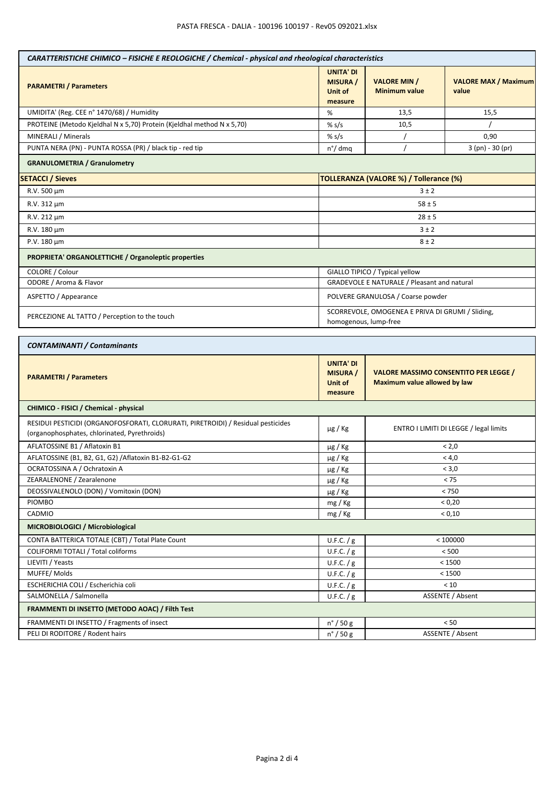| CARATTERISTICHE CHIMICO - FISICHE E REOLOGICHE / Chemical - physical and rheological characteristics                             |                                                           |                                                                              |                                      |  |
|----------------------------------------------------------------------------------------------------------------------------------|-----------------------------------------------------------|------------------------------------------------------------------------------|--------------------------------------|--|
| <b>PARAMETRI / Parameters</b>                                                                                                    | <b>UNITA' DI</b><br><b>MISURA</b> /<br>Unit of<br>measure | <b>VALORE MIN /</b><br><b>Minimum value</b>                                  | <b>VALORE MAX / Maximum</b><br>value |  |
| UMIDITA' (Reg. CEE n° 1470/68) / Humidity                                                                                        | %                                                         | 13,5                                                                         | 15,5                                 |  |
| PROTEINE (Metodo Kjeldhal N x 5,70) Protein (Kjeldhal method N x 5,70)                                                           | % $s/s$                                                   | 10,5                                                                         |                                      |  |
| MINERALI / Minerals                                                                                                              | % s/s                                                     |                                                                              | 0,90                                 |  |
| PUNTA NERA (PN) - PUNTA ROSSA (PR) / black tip - red tip                                                                         | $n^{\circ}/$ dmq                                          |                                                                              | 3 (pn) - 30 (pr)                     |  |
| <b>GRANULOMETRIA / Granulometry</b>                                                                                              |                                                           |                                                                              |                                      |  |
| <b>SETACCI / Sieves</b>                                                                                                          | TOLLERANZA (VALORE %) / Tollerance (%)                    |                                                                              |                                      |  |
| R.V. 500 µm                                                                                                                      |                                                           | 3±2                                                                          |                                      |  |
| R.V. 312 µm                                                                                                                      |                                                           | $58 \pm 5$                                                                   |                                      |  |
| R.V. 212 µm                                                                                                                      |                                                           | $28 \pm 5$                                                                   |                                      |  |
| R.V. 180 µm                                                                                                                      |                                                           |                                                                              |                                      |  |
| P.V. 180 µm                                                                                                                      |                                                           | 3±2<br>$8 \pm 2$                                                             |                                      |  |
|                                                                                                                                  |                                                           |                                                                              |                                      |  |
| PROPRIETA' ORGANOLETTICHE / Organoleptic properties                                                                              |                                                           |                                                                              |                                      |  |
| COLORE / Colour                                                                                                                  | GIALLO TIPICO / Typical yellow                            |                                                                              |                                      |  |
| ODORE / Aroma & Flavor                                                                                                           |                                                           | GRADEVOLE E NATURALE / Pleasant and natural                                  |                                      |  |
| ASPETTO / Appearance                                                                                                             |                                                           | POLVERE GRANULOSA / Coarse powder                                            |                                      |  |
| PERCEZIONE AL TATTO / Perception to the touch                                                                                    |                                                           | SCORREVOLE, OMOGENEA E PRIVA DI GRUMI / Sliding,<br>homogenous, lump-free    |                                      |  |
| <b>CONTAMINANTI / Contaminants</b><br><b>UNITA' DI</b>                                                                           |                                                           |                                                                              |                                      |  |
| <b>PARAMETRI / Parameters</b>                                                                                                    | <b>MISURA</b> /<br>Unit of<br>measure                     | <b>VALORE MASSIMO CONSENTITO PER LEGGE /</b><br>Maximum value allowed by law |                                      |  |
| CHIMICO - FISICI / Chemical - physical                                                                                           |                                                           |                                                                              |                                      |  |
| RESIDUI PESTICIDI (ORGANOFOSFORATI, CLORURATI, PIRETROIDI) / Residual pesticides<br>(organophosphates, chlorinated, Pyrethroids) | $\mu$ g / Kg                                              | ENTRO I LIMITI DI LEGGE / legal limits                                       |                                      |  |
| AFLATOSSINE B1 / Aflatoxin B1                                                                                                    | µg / Kg                                                   | < 2,0                                                                        |                                      |  |
| AFLATOSSINE (B1, B2, G1, G2) / Aflatoxin B1-B2-G1-G2                                                                             | $\mu$ g / Kg                                              | < 4,0                                                                        |                                      |  |
| OCRATOSSINA A / Ochratoxin A                                                                                                     | µg / Kg                                                   | < 3,0                                                                        |                                      |  |
| ZEARALENONE / Zearalenone                                                                                                        | $\mu$ g / Kg                                              | < 75                                                                         |                                      |  |
| DEOSSIVALENOLO (DON) / Vomitoxin (DON)                                                                                           | µg / Kg                                                   | $< 750$                                                                      |                                      |  |
| <b>PIOMBO</b>                                                                                                                    | mg / Kg                                                   | < 0,20                                                                       |                                      |  |
| CADMIO                                                                                                                           | mg / Kg                                                   | < 0,10                                                                       |                                      |  |
| MICROBIOLOGICI / Microbiological                                                                                                 |                                                           |                                                                              |                                      |  |
| CONTA BATTERICA TOTALE (CBT) / Total Plate Count                                                                                 | U.F.C. / g                                                | < 100000                                                                     |                                      |  |
| COLIFORMI TOTALI / Total coliforms                                                                                               | U.F.C. / g                                                | $<500$                                                                       |                                      |  |
| LIEVITI / Yeasts                                                                                                                 | U.F.C. / g                                                | < 1500                                                                       |                                      |  |
| MUFFE/Molds                                                                                                                      | U.F.C. / g                                                | < 1500                                                                       |                                      |  |
| ESCHERICHIA COLI / Escherichia coli                                                                                              | U.F.C. / g                                                | $<10\,$                                                                      |                                      |  |
| SALMONELLA / Salmonella                                                                                                          | U.F.C. / g                                                | <b>ASSENTE / Absent</b>                                                      |                                      |  |
| FRAMMENTI DI INSETTO (METODO AOAC) / Filth Test                                                                                  |                                                           |                                                                              |                                      |  |
| FRAMMENTI DI INSETTO / Fragments of insect                                                                                       | $n^{\circ}$ / 50 g                                        |                                                                              | < 50                                 |  |
| PELI DI RODITORE / Rodent hairs                                                                                                  | $n^{\circ}$ / 50 g                                        | ASSENTE / Absent                                                             |                                      |  |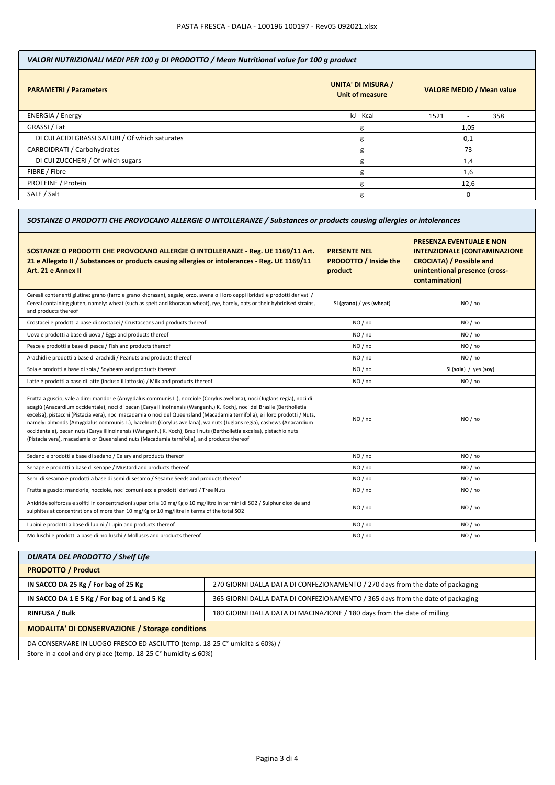| VALORI NUTRIZIONALI MEDI PER 100 g DI PRODOTTO / Mean Nutritional value for 100 g product |                                                     |                                  |  |
|-------------------------------------------------------------------------------------------|-----------------------------------------------------|----------------------------------|--|
| <b>PARAMETRI / Parameters</b>                                                             | <b>UNITA' DI MISURA /</b><br><b>Unit of measure</b> | <b>VALORE MEDIO / Mean value</b> |  |
| <b>ENERGIA</b> / Energy                                                                   | kJ - Kcal                                           | 358<br>1521<br>-                 |  |
| GRASSI / Fat                                                                              | g                                                   | 1,05                             |  |
| DI CUI ACIDI GRASSI SATURI / Of which saturates                                           | g                                                   | 0,1                              |  |
| CARBOIDRATI / Carbohydrates                                                               | g                                                   | 73                               |  |
| DI CUI ZUCCHERI / Of which sugars                                                         | g                                                   | 1,4                              |  |
| FIBRE / Fibre                                                                             | g                                                   | 1,6                              |  |
| PROTEINE / Protein                                                                        | g                                                   | 12,6                             |  |
| SALE / Salt                                                                               | g                                                   | 0                                |  |

| SOSTANZE O PRODOTTI CHE PROVOCANO ALLERGIE O INTOLLERANZE / Substances or products causing allergies or intolerances                                                                                                                                                                                                                                                                                                                                                                                                                                                                                                                                                                                                               |                                                                |                                                                                                                                                               |  |
|------------------------------------------------------------------------------------------------------------------------------------------------------------------------------------------------------------------------------------------------------------------------------------------------------------------------------------------------------------------------------------------------------------------------------------------------------------------------------------------------------------------------------------------------------------------------------------------------------------------------------------------------------------------------------------------------------------------------------------|----------------------------------------------------------------|---------------------------------------------------------------------------------------------------------------------------------------------------------------|--|
| SOSTANZE O PRODOTTI CHE PROVOCANO ALLERGIE O INTOLLERANZE - Reg. UE 1169/11 Art.<br>21 e Allegato II / Substances or products causing allergies or intolerances - Reg. UE 1169/11<br>Art. 21 e Annex II                                                                                                                                                                                                                                                                                                                                                                                                                                                                                                                            | <b>PRESENTE NEL</b><br><b>PRODOTTO / Inside the</b><br>product | <b>PRESENZA EVENTUALE E NON</b><br><b>INTENZIONALE (CONTAMINAZIONE</b><br><b>CROCIATA) / Possible and</b><br>unintentional presence (cross-<br>contamination) |  |
| Cereali contenenti glutine: grano (farro e grano khorasan), segale, orzo, avena o i loro ceppi ibridati e prodotti derivati /<br>Cereal containing gluten, namely: wheat (such as spelt and khorasan wheat), rye, barely, oats or their hybridised strains,<br>and products thereof                                                                                                                                                                                                                                                                                                                                                                                                                                                | SI (grano) / yes (wheat)                                       | NO / no                                                                                                                                                       |  |
| Crostacei e prodotti a base di crostacei / Crustaceans and products thereof                                                                                                                                                                                                                                                                                                                                                                                                                                                                                                                                                                                                                                                        | NO / no                                                        | NO / no                                                                                                                                                       |  |
| Uova e prodotti a base di uova / Eggs and products thereof                                                                                                                                                                                                                                                                                                                                                                                                                                                                                                                                                                                                                                                                         | NO / no                                                        | NO / no                                                                                                                                                       |  |
| Pesce e prodotti a base di pesce / Fish and products thereof                                                                                                                                                                                                                                                                                                                                                                                                                                                                                                                                                                                                                                                                       | NO / no                                                        | NO / no                                                                                                                                                       |  |
| Arachidi e prodotti a base di arachidi / Peanuts and products thereof                                                                                                                                                                                                                                                                                                                                                                                                                                                                                                                                                                                                                                                              | NO / no                                                        | NO/no                                                                                                                                                         |  |
| Soia e prodotti a base di soia / Soybeans and products thereof                                                                                                                                                                                                                                                                                                                                                                                                                                                                                                                                                                                                                                                                     | NO / no                                                        | SI (soia) / yes (soy)                                                                                                                                         |  |
| Latte e prodotti a base di latte (incluso il lattosio) / Milk and products thereof                                                                                                                                                                                                                                                                                                                                                                                                                                                                                                                                                                                                                                                 | NO / no                                                        | NO / no                                                                                                                                                       |  |
| Frutta a guscio, vale a dire: mandorle (Amygdalus communis L.), nocciole (Corylus avellana), noci (Juglans regia), noci di<br>acagiù (Anacardium occidentale), noci di pecan [Carya illinoinensis (Wangenh.) K. Koch], noci del Brasile (Bertholletia<br>excelsa), pistacchi (Pistacia vera), noci macadamia o noci del Queensland (Macadamia ternifolia), e i loro prodotti / Nuts,<br>namely: almonds (Amygdalus communis L.), hazelnuts (Corylus avellana), walnuts (Juglans regia), cashews (Anacardium<br>occidentale), pecan nuts (Carya illinoinensis (Wangenh.) K. Koch), Brazil nuts (Bertholletia excelsa), pistachio nuts<br>(Pistacia vera), macadamia or Queensland nuts (Macadamia ternifolia), and products thereof | NO / no                                                        | NO / no                                                                                                                                                       |  |
| Sedano e prodotti a base di sedano / Celery and products thereof                                                                                                                                                                                                                                                                                                                                                                                                                                                                                                                                                                                                                                                                   | NO / no                                                        | NO / no                                                                                                                                                       |  |
| Senape e prodotti a base di senape / Mustard and products thereof                                                                                                                                                                                                                                                                                                                                                                                                                                                                                                                                                                                                                                                                  | NO / no                                                        | NO / no                                                                                                                                                       |  |
| Semi di sesamo e prodotti a base di semi di sesamo / Sesame Seeds and products thereof                                                                                                                                                                                                                                                                                                                                                                                                                                                                                                                                                                                                                                             | NO / no                                                        | NO / no                                                                                                                                                       |  |
| Frutta a guscio: mandorle, nocciole, noci comuni ecc e prodotti derivati / Tree Nuts                                                                                                                                                                                                                                                                                                                                                                                                                                                                                                                                                                                                                                               | NO / no                                                        | NO / no                                                                                                                                                       |  |
| Anidride solforosa e solfiti in concentrazioni superiori a 10 mg/Kg o 10 mg/litro in termini di SO2 / Sulphur dioxide and<br>sulphites at concentrations of more than 10 mg/Kg or 10 mg/litre in terms of the total SO2                                                                                                                                                                                                                                                                                                                                                                                                                                                                                                            | NO / no                                                        | NO/no                                                                                                                                                         |  |
| Lupini e prodotti a base di lupini / Lupin and products thereof                                                                                                                                                                                                                                                                                                                                                                                                                                                                                                                                                                                                                                                                    | NO / no                                                        | NO / no                                                                                                                                                       |  |
| Molluschi e prodotti a base di molluschi / Molluscs and products thereof                                                                                                                                                                                                                                                                                                                                                                                                                                                                                                                                                                                                                                                           | NO / no                                                        | NO / no                                                                                                                                                       |  |

| <b>DURATA DEL PRODOTTO / Shelf Life</b>                                    |                                                                                |  |
|----------------------------------------------------------------------------|--------------------------------------------------------------------------------|--|
| <b>PRODOTTO / Product</b>                                                  |                                                                                |  |
| IN SACCO DA 25 Kg / For bag of 25 Kg                                       | 270 GIORNI DALLA DATA DI CONFEZIONAMENTO / 270 days from the date of packaging |  |
| IN SACCO DA 1 E 5 Kg / For bag of 1 and 5 Kg                               | 365 GIORNI DALLA DATA DI CONFEZIONAMENTO / 365 days from the date of packaging |  |
| <b>RINFUSA / Bulk</b>                                                      | 180 GIORNI DALLA DATA DI MACINAZIONE / 180 days from the date of milling       |  |
| <b>MODALITA' DI CONSERVAZIONE / Storage conditions</b>                     |                                                                                |  |
| DA CONSERVARE IN LUOGO FRESCO ED ASCIUTTO (temp. 18-25 C° umidità ≤ 60%) / |                                                                                |  |
| Store in a cool and dry place (temp. $18-25$ C° humidity $\leq 60\%$ )     |                                                                                |  |